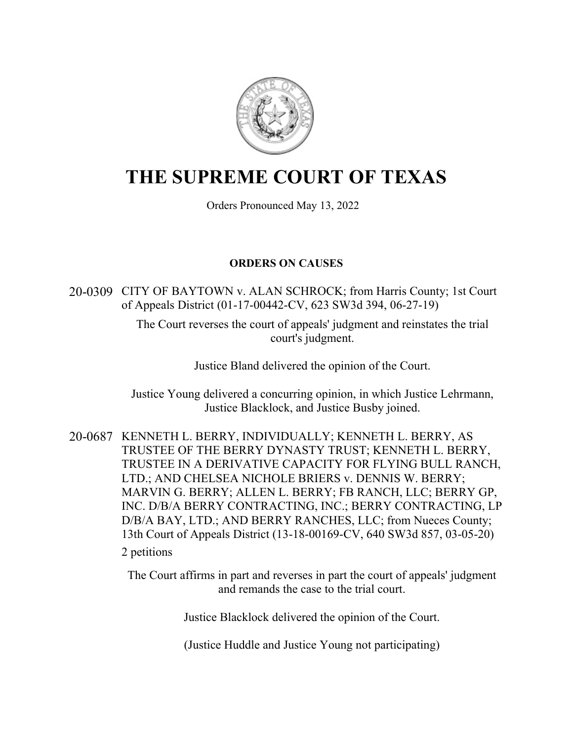

# **THE SUPREME COURT OF TEXAS**

Orders Pronounced May 13, 2022

## **ORDERS ON CAUSES**

20-0309 CITY OF BAYTOWN v. ALAN SCHROCK; from Harris County; 1st Court of Appeals District (01-17-00442-CV, 623 SW3d 394, 06-27-19)

> The Court reverses the court of appeals' judgment and reinstates the trial court's judgment.

> > Justice Bland delivered the opinion of the Court.

Justice Young delivered a concurring opinion, in which Justice Lehrmann, Justice Blacklock, and Justice Busby joined.

20-0687 KENNETH L. BERRY, INDIVIDUALLY; KENNETH L. BERRY, AS TRUSTEE OF THE BERRY DYNASTY TRUST; KENNETH L. BERRY, TRUSTEE IN A DERIVATIVE CAPACITY FOR FLYING BULL RANCH, LTD.; AND CHELSEA NICHOLE BRIERS v. DENNIS W. BERRY; MARVIN G. BERRY; ALLEN L. BERRY; FB RANCH, LLC; BERRY GP, INC. D/B/A BERRY CONTRACTING, INC.; BERRY CONTRACTING, LP D/B/A BAY, LTD.; AND BERRY RANCHES, LLC; from Nueces County; 13th Court of Appeals District (13-18-00169-CV, 640 SW3d 857, 03-05-20) 2 petitions

> The Court affirms in part and reverses in part the court of appeals' judgment and remands the case to the trial court.

> > Justice Blacklock delivered the opinion of the Court.

(Justice Huddle and Justice Young not participating)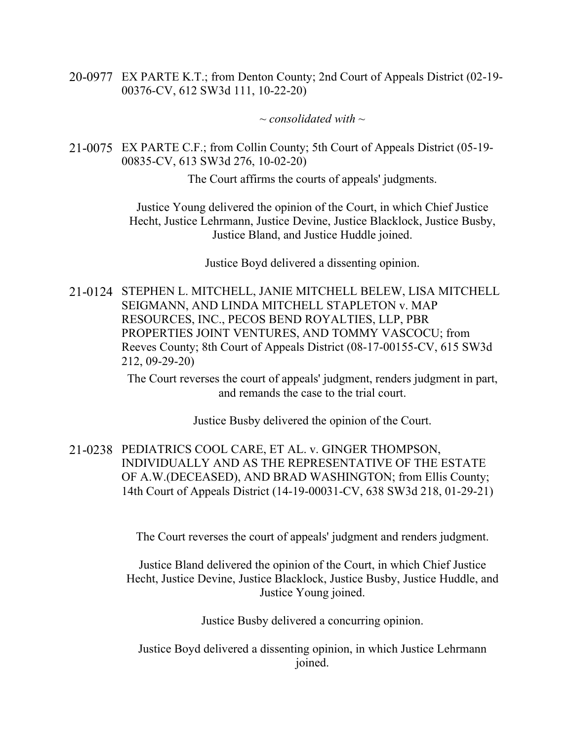20-0977 EX PARTE K.T.; from Denton County; 2nd Court of Appeals District (02-19- 00376-CV, 612 SW3d 111, 10-22-20)

*~ consolidated with ~*

21-0075 EX PARTE C.F.; from Collin County; 5th Court of Appeals District (05-19- 00835-CV, 613 SW3d 276, 10-02-20)

The Court affirms the courts of appeals' judgments.

Justice Young delivered the opinion of the Court, in which Chief Justice Hecht, Justice Lehrmann, Justice Devine, Justice Blacklock, Justice Busby, Justice Bland, and Justice Huddle joined.

Justice Boyd delivered a dissenting opinion.

21-0124 STEPHEN L. MITCHELL, JANIE MITCHELL BELEW, LISA MITCHELL SEIGMANN, AND LINDA MITCHELL STAPLETON v. MAP RESOURCES, INC., PECOS BEND ROYALTIES, LLP, PBR PROPERTIES JOINT VENTURES, AND TOMMY VASCOCU; from Reeves County; 8th Court of Appeals District (08-17-00155-CV, 615 SW3d 212, 09-29-20)

> The Court reverses the court of appeals' judgment, renders judgment in part, and remands the case to the trial court.

> > Justice Busby delivered the opinion of the Court.

21-0238 PEDIATRICS COOL CARE, ET AL. v. GINGER THOMPSON, INDIVIDUALLY AND AS THE REPRESENTATIVE OF THE ESTATE OF A.W.(DECEASED), AND BRAD WASHINGTON; from Ellis County; 14th Court of Appeals District (14-19-00031-CV, 638 SW3d 218, 01-29-21)

The Court reverses the court of appeals' judgment and renders judgment.

Justice Bland delivered the opinion of the Court, in which Chief Justice Hecht, Justice Devine, Justice Blacklock, Justice Busby, Justice Huddle, and Justice Young joined.

Justice Busby delivered a concurring opinion.

Justice Boyd delivered a dissenting opinion, in which Justice Lehrmann joined.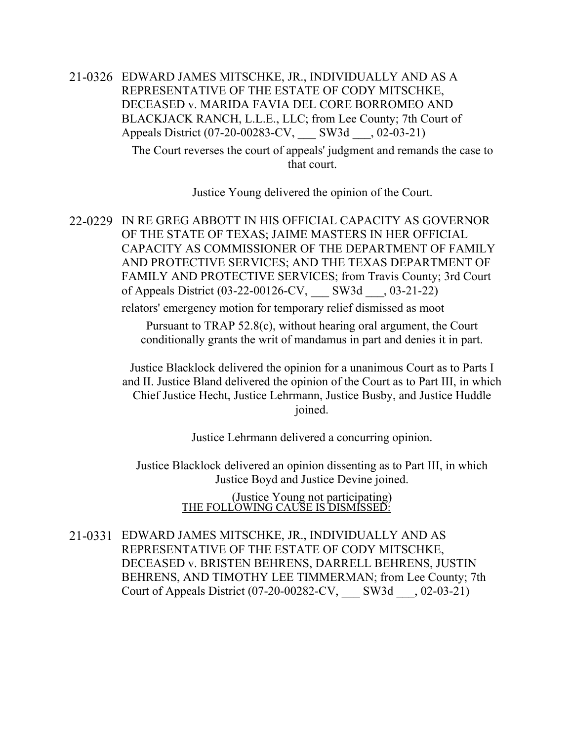21-0326 EDWARD JAMES MITSCHKE, JR., INDIVIDUALLY AND AS A REPRESENTATIVE OF THE ESTATE OF CODY MITSCHKE, DECEASED v. MARIDA FAVIA DEL CORE BORROMEO AND BLACKJACK RANCH, L.L.E., LLC; from Lee County; 7th Court of Appeals District (07-20-00283-CV, \_\_\_ SW3d \_\_\_, 02-03-21)

> The Court reverses the court of appeals' judgment and remands the case to that court.

> > Justice Young delivered the opinion of the Court.

22-0229 IN RE GREG ABBOTT IN HIS OFFICIAL CAPACITY AS GOVERNOR OF THE STATE OF TEXAS; JAIME MASTERS IN HER OFFICIAL CAPACITY AS COMMISSIONER OF THE DEPARTMENT OF FAMILY AND PROTECTIVE SERVICES; AND THE TEXAS DEPARTMENT OF FAMILY AND PROTECTIVE SERVICES; from Travis County; 3rd Court of Appeals District (03-22-00126-CV, \_\_\_ SW3d \_\_\_, 03-21-22)

relators' emergency motion for temporary relief dismissed as moot

Pursuant to TRAP 52.8(c), without hearing oral argument, the Court conditionally grants the writ of mandamus in part and denies it in part.

Justice Blacklock delivered the opinion for a unanimous Court as to Parts I and II. Justice Bland delivered the opinion of the Court as to Part III, in which Chief Justice Hecht, Justice Lehrmann, Justice Busby, and Justice Huddle joined.

Justice Lehrmann delivered a concurring opinion.

Justice Blacklock delivered an opinion dissenting as to Part III, in which Justice Boyd and Justice Devine joined.

> (Justice Young not participating) THE FOLLOWING CAUSE IS DISMISSED:

21-0331 EDWARD JAMES MITSCHKE, JR., INDIVIDUALLY AND AS REPRESENTATIVE OF THE ESTATE OF CODY MITSCHKE, DECEASED v. BRISTEN BEHRENS, DARRELL BEHRENS, JUSTIN BEHRENS, AND TIMOTHY LEE TIMMERMAN; from Lee County; 7th Court of Appeals District (07-20-00282-CV, \_\_\_ SW3d \_\_\_, 02-03-21)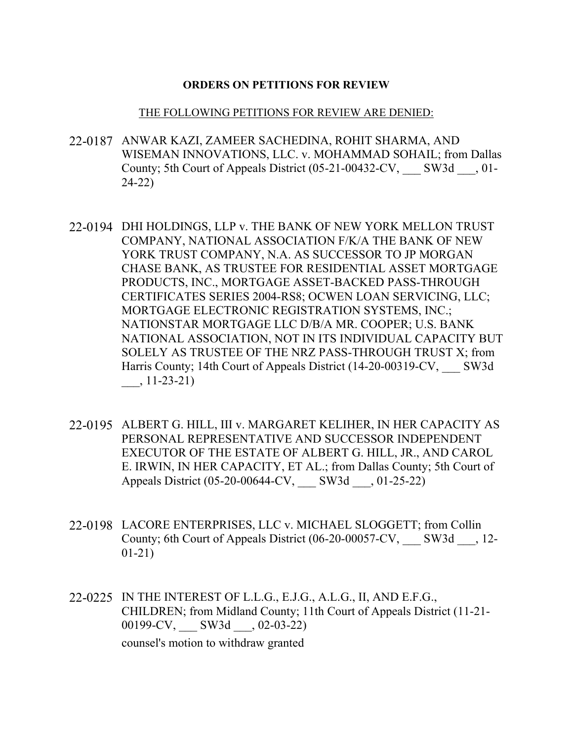#### **ORDERS ON PETITIONS FOR REVIEW**

#### THE FOLLOWING PETITIONS FOR REVIEW ARE DENIED:

- 22-0187 ANWAR KAZI, ZAMEER SACHEDINA, ROHIT SHARMA, AND WISEMAN INNOVATIONS, LLC. v. MOHAMMAD SOHAIL; from Dallas County; 5th Court of Appeals District (05-21-00432-CV, SW3d , 01-24-22)
- 22-0194 DHI HOLDINGS, LLP v. THE BANK OF NEW YORK MELLON TRUST COMPANY, NATIONAL ASSOCIATION F/K/A THE BANK OF NEW YORK TRUST COMPANY, N.A. AS SUCCESSOR TO JP MORGAN CHASE BANK, AS TRUSTEE FOR RESIDENTIAL ASSET MORTGAGE PRODUCTS, INC., MORTGAGE ASSET-BACKED PASS-THROUGH CERTIFICATES SERIES 2004-RS8; OCWEN LOAN SERVICING, LLC; MORTGAGE ELECTRONIC REGISTRATION SYSTEMS, INC.; NATIONSTAR MORTGAGE LLC D/B/A MR. COOPER; U.S. BANK NATIONAL ASSOCIATION, NOT IN ITS INDIVIDUAL CAPACITY BUT SOLELY AS TRUSTEE OF THE NRZ PASS-THROUGH TRUST X; from Harris County; 14th Court of Appeals District (14-20-00319-CV, SW3d \_\_\_, 11-23-21)
- 22-0195 ALBERT G. HILL, III v. MARGARET KELIHER, IN HER CAPACITY AS PERSONAL REPRESENTATIVE AND SUCCESSOR INDEPENDENT EXECUTOR OF THE ESTATE OF ALBERT G. HILL, JR., AND CAROL E. IRWIN, IN HER CAPACITY, ET AL.; from Dallas County; 5th Court of Appeals District (05-20-00644-CV, \_\_\_ SW3d \_\_\_, 01-25-22)
- 22-0198 LACORE ENTERPRISES, LLC v. MICHAEL SLOGGETT; from Collin County; 6th Court of Appeals District (06-20-00057-CV, \_\_\_ SW3d \_\_\_, 12- 01-21)
- 22-0225 IN THE INTEREST OF L.L.G., E.J.G., A.L.G., II, AND E.F.G., CHILDREN; from Midland County; 11th Court of Appeals District (11-21- 00199-CV, \_\_\_\_ SW3d \_\_\_, 02-03-22) counsel's motion to withdraw granted